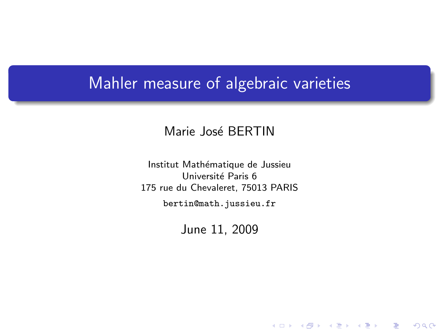### Mahler measure of algebraic varieties

#### Marie José BERTIN

Institut Mathématique de Jussieu Université Paris 6 175 rue du Chevaleret, 75013 PARIS

bertin@math.jussieu.fr

<span id="page-0-0"></span>June 11, 2009

メロト メ御い メ君 トメ 君 トッ 君

 $2Q$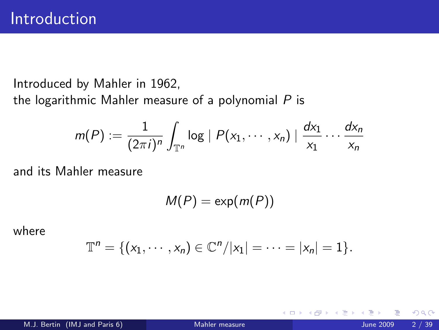Introduced by Mahler in 1962, the logarithmic Mahler measure of a polynomial  $P$  is

$$
m(P) := \frac{1}{(2\pi i)^n} \int_{\mathbb{T}^n} \log |P(x_1,\dots,x_n)| \frac{dx_1}{x_1} \dots \frac{dx_n}{x_n}
$$

and its Mahler measure

 $M(P) = \exp(m(P))$ 

where

$$
\mathbb{T}^n = \{ (x_1, \cdots, x_n) \in \mathbb{C}^n / |x_1| = \cdots = |x_n| = 1 \}.
$$

4 0 8

 $QQQ$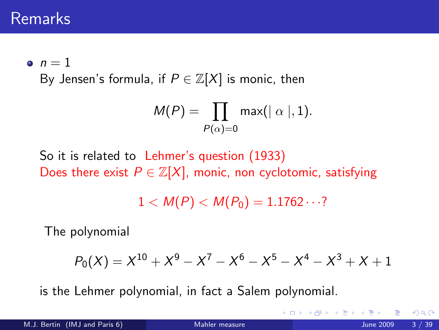## Remarks

 $n = 1$ 

By Jensen's formula, if  $P \in \mathbb{Z}[X]$  is monic, then

$$
M(P) = \prod_{P(\alpha)=0} \max(|\alpha|, 1).
$$

So it is related to Lehmer's question (1933) Does there exist  $P \in \mathbb{Z}[X]$ , monic, non cyclotomic, satisfying

 $1 < M(P) < M(P_0) = 1.1762 \cdots$ ?

The polynomial

$$
P_0(X) = X^{10} + X^9 - X^7 - X^6 - X^5 - X^4 - X^3 + X + 1
$$

is the Lehmer polynomial, in fact a Salem polynomial.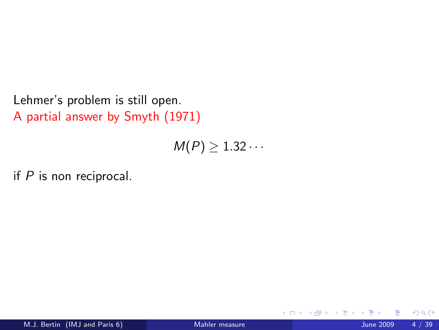Lehmer's problem is still open. A partial answer by Smyth (1971)

 $M(P) \geq 1.32 \cdots$ 

if  $P$  is non reciprocal.

4 0 8

 $299$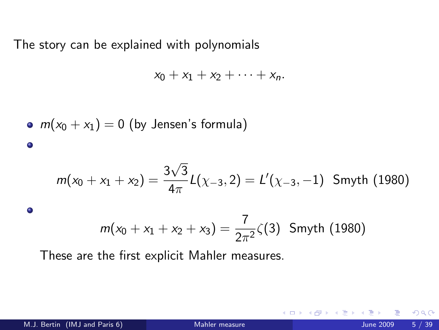The story can be explained with polynomials

$$
x_0+x_1+x_2+\cdots+x_n.
$$

• 
$$
m(x_0 + x_1) = 0
$$
 (by Jensen's formula)  
\n•  
\n
$$
m(x_0 + x_1 + x_2) = \frac{3\sqrt{3}}{4\pi}L(\chi_{-3}, 2) = L'(\chi_{-3}, -1)
$$
 Smyth (1980)

$$
m(x_0 + x_1 + x_2 + x_3) = \frac{7}{2\pi^2} \zeta(3)
$$
 Smyth (1980)

These are the first explicit Mahler measures.

 $\bullet$ 

4.0.3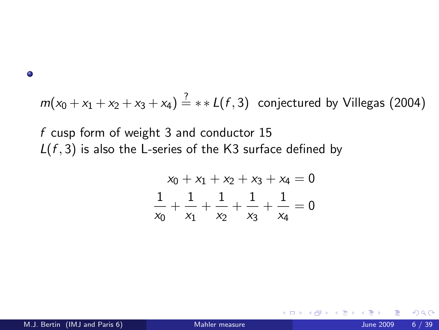$\bullet$ 

 $m(x_0 + x_1 + x_2 + x_3 + x_4) \stackrel{?}{=} *1 (f, 3)$  conjectured by Villegas (2004)

f cusp form of weight 3 and conductor 15  $L(f, 3)$  is also the L-series of the K3 surface defined by

$$
x_0 + x_1 + x_2 + x_3 + x_4 = 0
$$
  

$$
\frac{1}{x_0} + \frac{1}{x_1} + \frac{1}{x_2} + \frac{1}{x_3} + \frac{1}{x_4} = 0
$$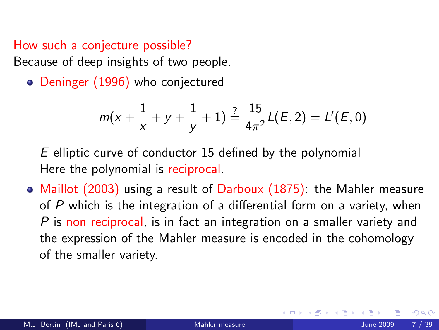#### How such a conjecture possible?

Because of deep insights of two people.

• Deninger (1996) who conjectured

$$
m(x+\frac{1}{x}+y+\frac{1}{y}+1)\stackrel{?}{=}\frac{15}{4\pi^2}L(E,2)=L'(E,0)
$$

E elliptic curve of conductor 15 defined by the polynomial Here the polynomial is reciprocal.

• Maillot (2003) using a result of Darboux (1875): the Mahler measure of P which is the integration of a differential form on a variety, when P is non reciprocal, is in fact an integration on a smaller variety and the expression of the Mahler measure is encoded in the cohomology of the smaller variety.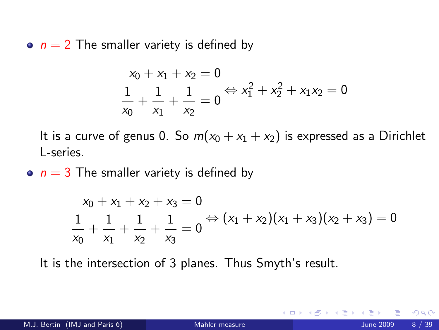$n = 2$  The smaller variety is defined by

$$
\begin{aligned}\nx_0 + x_1 + x_2 &= 0 \\
\frac{1}{x_0} + \frac{1}{x_1} + \frac{1}{x_2} &= 0 \Leftrightarrow x_1^2 + x_2^2 + x_1 x_2 = 0\n\end{aligned}
$$

It is a curve of genus 0. So  $m(x_0 + x_1 + x_2)$  is expressed as a Dirichlet L-series.

•  $n = 3$  The smaller variety is defined by

$$
\begin{aligned}\nx_0 + x_1 + x_2 + x_3 &= 0 \\
\frac{1}{x_0} + \frac{1}{x_1} + \frac{1}{x_2} + \frac{1}{x_3} &= 0 \\
\Rightarrow (x_1 + x_2)(x_1 + x_3)(x_2 + x_3) &= 0\n\end{aligned}
$$

It is the intersection of 3 planes. Thus Smyth's result.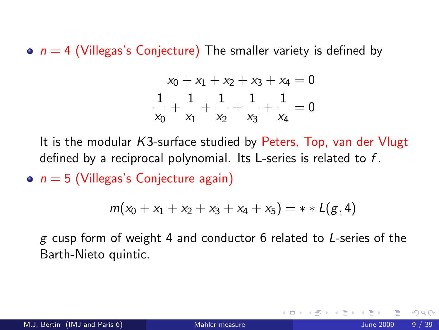$\bullet$   $n = 4$  (Villegas's Conjecture) The smaller variety is defined by

$$
x_0 + x_1 + x_2 + x_3 + x_4 = 0
$$
  

$$
\frac{1}{x_0} + \frac{1}{x_1} + \frac{1}{x_2} + \frac{1}{x_3} + \frac{1}{x_4} = 0
$$

It is the modular K3-surface studied by Peters, Top, van der Vlugt defined by a reciprocal polynomial. Its L-series is related to f.

 $n = 5$  (Villegas's Conjecture again)

$$
m(x_0 + x_1 + x_2 + x_3 + x_4 + x_5) = * * L(g, 4)
$$

g cusp form of weight 4 and conductor 6 related to L-series of the Barth-Nieto quintic.

つひひ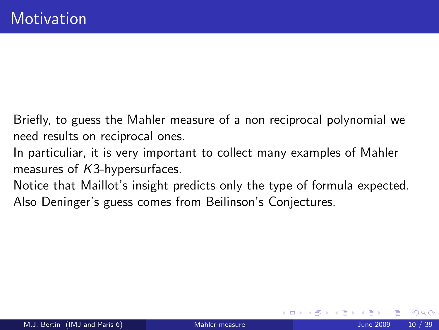Briefly, to guess the Mahler measure of a non reciprocal polynomial we need results on reciprocal ones.

- In particuliar, it is very important to collect many examples of Mahler measures of K3-hypersurfaces.
- Notice that Maillot's insight predicts only the type of formula expected. Also Deninger's guess comes from Beilinson's Conjectures.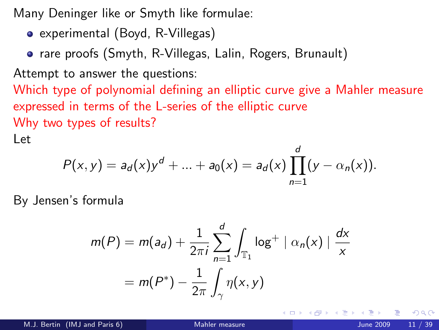Many Deninger like or Smyth like formulae:

- experimental (Boyd, R-Villegas)
- rare proofs (Smyth, R-Villegas, Lalin, Rogers, Brunault)

Attempt to answer the questions:

Which type of polynomial defining an elliptic curve give a Mahler measure expressed in terms of the L-series of the elliptic curve Why two types of results?

Let

$$
P(x, y) = a_d(x)y^d + ... + a_0(x) = a_d(x) \prod_{n=1}^d (y - \alpha_n(x)).
$$

By Jensen's formula

$$
m(P) = m(a_d) + \frac{1}{2\pi i} \sum_{n=1}^d \int_{\mathbb{T}_1} \log^+ \mid \alpha_n(x) \mid \frac{dx}{x}
$$

$$
= m(P^*) - \frac{1}{2\pi} \int_{\gamma} \eta(x, y)
$$

4 0 8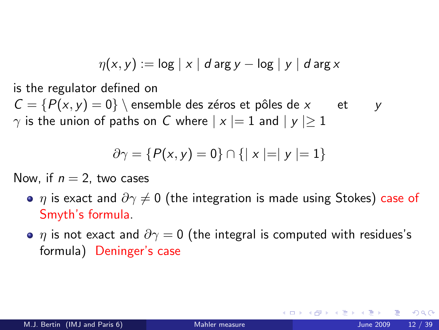$$
\eta(x,y) := \log |x| \, d \arg y - \log |y| \, d \arg x
$$

is the regulator defined on

 $C = {P(x, y) = 0}$  ensemble des zéros et pôles de x et y  $\gamma$  is the union of paths on C where  $|x|=1$  and  $|y|\geq 1$ 

$$
\partial \gamma = \{P(x, y) = 0\} \cap \{|x| = |y| = 1\}
$$

Now, if  $n = 2$ , two cases

- $\eta$  is exact and  $\partial \gamma \neq 0$  (the integration is made using Stokes) case of Smyth's formula.
- $\bullet$   $\eta$  is not exact and  $\partial \gamma = 0$  (the integral is computed with residues's formula) Deninger's case

つへへ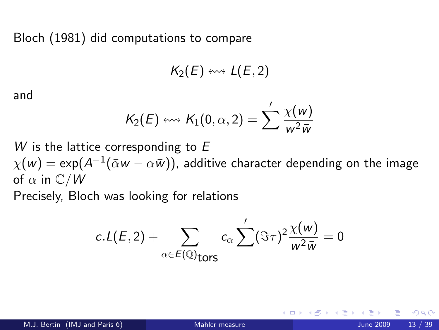Bloch (1981) did computations to compare

$$
K_2(E) \leftrightarrow L(E,2)
$$

and

$$
K_2(E) \leftrightsquigarrow K_1(0, \alpha, 2) = \sum' \frac{\chi(w)}{w^2 \overline{w}}
$$

W is the lattice corresponding to  $E$ 

 $\chi(\pmb{\mathsf{w}})=\exp(A^{-1}(\bar{\alpha}\pmb{\mathsf{w}}-\alpha\bar{\pmb{\mathsf{w}}}))$ , additive character depending on the image of  $\alpha$  in  $\mathbb{C}/W$ 

Precisely, Bloch was looking for relations

$$
c.L(E,2)+\sum_{\alpha\in E(\mathbb{Q})_{\text{tors}}}c_{\alpha}\sum'(\Im\tau)^{2}\frac{\chi(w)}{w^{2}\bar{w}}=0
$$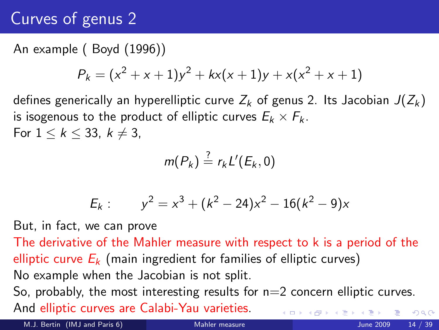# Curves of genus 2

### An example ( Boyd (1996))

$$
P_k = (x^2 + x + 1)y^2 + kx(x + 1)y + x(x^2 + x + 1)
$$

defines generically an hyperelliptic curve  $Z_k$  of genus 2. Its Jacobian  $J(Z_k)$ is isogenous to the product of elliptic curves  $E_k \times F_k$ . For  $1 \leq k \leq 33$ ,  $k \neq 3$ ,

$$
m(P_k)\stackrel{?}{=} r_kL'(E_k,0)
$$

$$
E_k: \qquad y^2 = x^3 + (k^2 - 24)x^2 - 16(k^2 - 9)x
$$

But, in fact, we can prove

The derivative of the Mahler measure with respect to k is a period of the elliptic curve  $E_k$  (main ingredient for families of elliptic curves) No example when the Jacobian is not split. So, probably, the most interesting results for  $n=2$  concern elliptic curves. And elliptic curves are Calabi-Yau varieties.  $\Omega$ 

M.J. Bertin (IMJ and Paris 6) [Mahler measure](#page-0-0) June 2009 14 / 39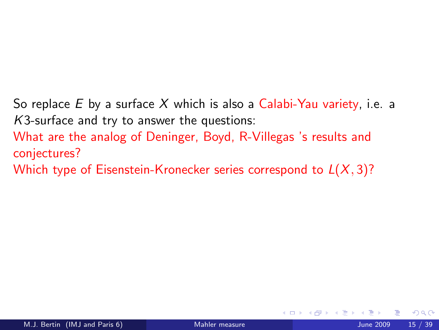So replace E by a surface X which is also a Calabi-Yau variety, i.e. a K3-surface and try to answer the questions:

What are the analog of Deninger, Boyd, R-Villegas 's results and conjectures?

Which type of Eisenstein-Kronecker series correspond to  $L(X, 3)$ ?

4 0 8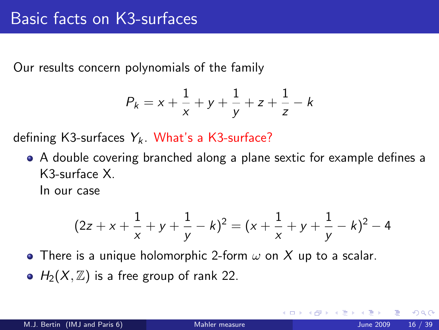Our results concern polynomials of the family

$$
P_k = x + \frac{1}{x} + y + \frac{1}{y} + z + \frac{1}{z} - k
$$

defining K3-surfaces  $Y_k$ . What's a K3-surface?

A double covering branched along a plane sextic for example defines a K3-surface X.

In our case

$$
(2z + x + \frac{1}{x} + y + \frac{1}{y} - k)^2 = (x + \frac{1}{x} + y + \frac{1}{y} - k)^2 - 4
$$

• There is a unique holomorphic 2-form  $\omega$  on X up to a scalar.

 $\bullet$  H<sub>2</sub>(X, Z) is a free group of rank 22.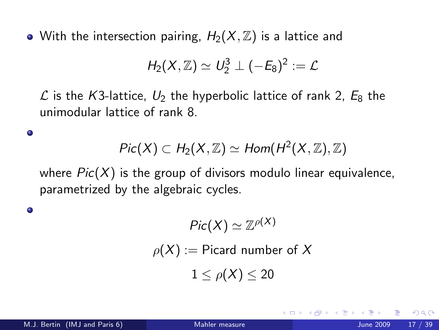• With the intersection pairing,  $H_2(X, \mathbb{Z})$  is a lattice and

$$
H_2(X,\mathbb{Z})\simeq U_2^3\perp (-E_8)^2:=\mathcal{L}
$$

 $\mathcal L$  is the K3-lattice,  $U_2$  the hyperbolic lattice of rank 2,  $E_8$  the unimodular lattice of rank 8.

$$
Pic(X) \subset H_2(X,\mathbb{Z}) \simeq Hom(H^2(X,\mathbb{Z}),\mathbb{Z})
$$

where  $Pic(X)$  is the group of divisors modulo linear equivalence, parametrized by the algebraic cycles.

$$
Pic(X) \simeq \mathbb{Z}^{\rho(X)}
$$
  

$$
\rho(X) := \text{Picard number of } X
$$
  

$$
1 \le \rho(X) \le 20
$$

٥

٠

つひい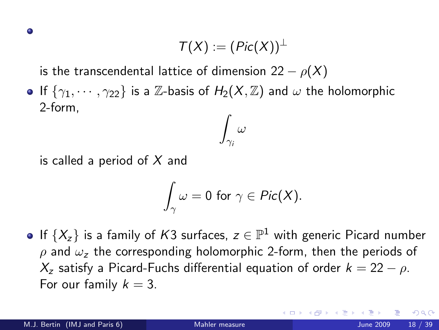$$
\mathcal{T}(X):=(\mathit{Pic}(X))^{\perp}
$$

is the transcendental lattice of dimension 22 –  $\rho(X)$ 

If  $\{\gamma_1, \cdots, \gamma_{22}\}$  is a Z-basis of  $H_2(X, \mathbb{Z})$  and  $\omega$  the holomorphic 2-form,  $\int \omega$ 

is called a period of  $X$  and

$$
\int_{\gamma}\omega=0\,\,\text{for}\,\,\gamma\in\mathit{Pic}(X).
$$

 $\gamma_i$ 

If  $\{X_z\}$  is a family of  $K3$  surfaces,  $z\in\mathbb{P}^1$  with generic Picard number  $ρ$  and  $ω<sub>z</sub>$  the corresponding holomorphic 2-form, then the periods of  $X_z$  satisfy a Picard-Fuchs differential equation of order  $k = 22 - \rho$ . For our family  $k = 3$ .

つひい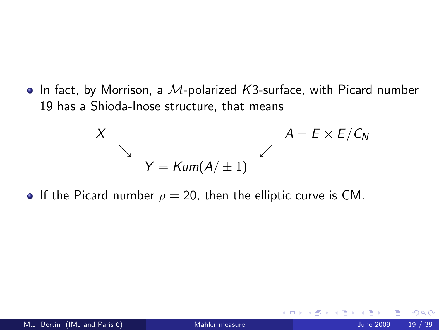$\bullet$  In fact, by Morrison, a M-polarized K3-surface, with Picard number 19 has a Shioda-Inose structure, that means

$$
X
$$
\n
$$
Y = \text{Kum}(A/\pm 1)
$$
\n
$$
A = E \times E/C_N
$$

If the Picard number  $\rho = 20$ , then the elliptic curve is CM.

<span id="page-18-0"></span>4 0 8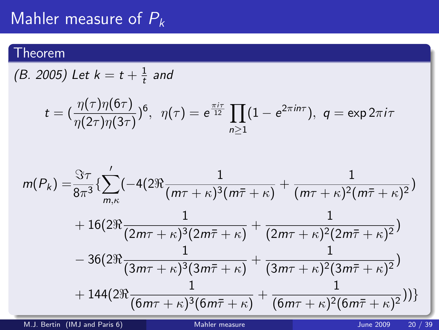## Mahler measure of  $P_k$

### Theorem

(B. 2005) Let  $k = t + \frac{1}{t}$  $\frac{1}{t}$  and

$$
t = (\frac{\eta(\tau)\eta(6\tau)}{\eta(2\tau)\eta(3\tau)})^6, \ \ \eta(\tau) = e^{\frac{\pi i \tau}{12}} \prod_{n \geq 1} (1 - e^{2\pi i n \tau}), \ \ q = \exp 2\pi i \tau
$$

$$
m(P_k) = \frac{\Im \tau}{8\pi^3} \left\{ \sum_{m,\kappa}^{\prime} \left( -4(2\Re \frac{1}{(m\tau + \kappa)^3 (m\bar{\tau} + \kappa)} + \frac{1}{(m\tau + \kappa)^2 (m\bar{\tau} + \kappa)^2} \right) \right. \\ \left. + 16(2\Re \frac{1}{(2m\tau + \kappa)^3 (2m\bar{\tau} + \kappa)} + \frac{1}{(2m\tau + \kappa)^2 (2m\bar{\tau} + \kappa)^2} \right) \\ \left. - 36(2\Re \frac{1}{(3m\tau + \kappa)^3 (3m\bar{\tau} + \kappa)} + \frac{1}{(3m\tau + \kappa)^2 (3m\bar{\tau} + \kappa)^2} \right) \\ \left. + 144(2\Re \frac{1}{(6m\tau + \kappa)^3 (6m\bar{\tau} + \kappa)} + \frac{1}{(6m\tau + \kappa)^2 (6m\bar{\tau} + \kappa)^2} \right) \right\}
$$

<span id="page-19-0"></span>M.J. Bertin (IMJ and Paris 6) [Mahler measure](#page-0-0) All the COOS 20 / 39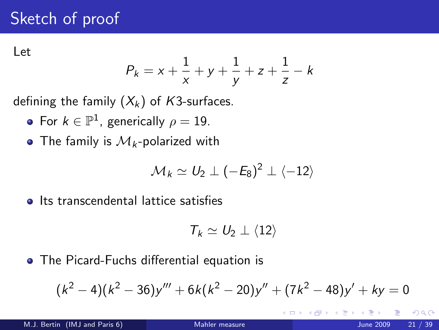# Sketch of proof

Let

$$
P_k = x + \frac{1}{x} + y + \frac{1}{y} + z + \frac{1}{z} - k
$$

defining the family  $(X_k)$  of K3-surfaces.

- For  $k \in \mathbb{P}^1$ , generically  $\rho = 19$ .
- The family is  $\mathcal{M}_k$ -polarized with

$$
\mathcal{M}_k \simeq U_2 \perp (-E_8)^2 \perp \langle -12 \rangle
$$

**o** Its transcendental lattice satisfies

<span id="page-20-0"></span>
$$
\mathcal{T}_k \simeq U_2 \perp \langle 12 \rangle
$$

The Picard-Fuchs differential equation is

$$
(k2 - 4)(k2 - 36)y''' + 6k(k2 - 20)y'' + (7k2 - 48)y' + ky = 0
$$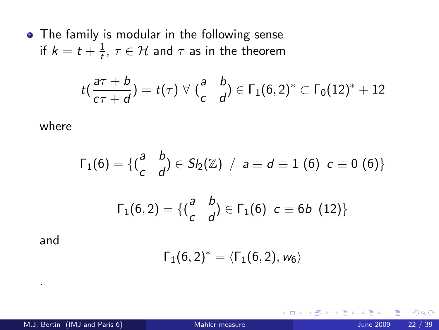• The family is modular in the following sense if  $k=t+\frac{1}{t}$  $\frac{1}{t}$ ,  $\tau \in \mathcal{H}$  and  $\tau$  as in the theorem

$$
t\left(\frac{a\tau+b}{c\tau+d}\right)=t(\tau)\,\,\forall\,\,\left(\begin{matrix}a&b\\c&d\end{matrix}\right)\in\Gamma_1(6,2)^*\subset\Gamma_0(12)^*+12
$$

where

$$
\Gamma_1(6) = \{ {a \atop c} b \atop 1(6,2) = \{ {a \atop c} b \atop 0 \end{bmatrix} \in S I_2(\mathbb{Z}) \ / \ a \equiv d \equiv 1 \ (6) \ c \equiv 0 \ (6) \}
$$

$$
\Gamma_1(6,2) = \{ {a \atop c} b \atop 0 \end{bmatrix} \in \Gamma_1(6) \ c \equiv 6b \ (12) \}
$$

and

.

$$
\Gamma_1(6,2)^*=\langle \Gamma_1(6,2),w_6\rangle
$$

4 日下

Э×.

 $299$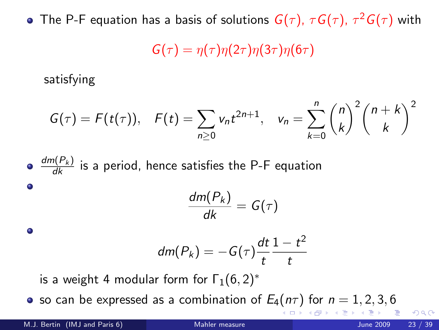The P-F equation has a basis of solutions  $G(\tau)$ ,  $\tau G(\tau)$ ,  $\tau^2 G(\tau)$  with

$$
G(\tau)=\eta(\tau)\eta(2\tau)\eta(3\tau)\eta(6\tau)
$$

satisfying

$$
G(\tau) = F(t(\tau)), \quad F(t) = \sum_{n\geq 0} v_n t^{2n+1}, \quad v_n = \sum_{k=0}^n {n \choose k}^2 {n+k \choose k}^2
$$

\n- \n
$$
\frac{dm(P_k)}{dk}
$$
 is a period, hence satisfies the P-F equation\n
\n- \n $\frac{dm(P_k)}{dk} = G(\tau)$ \n
\n- \n $dm(P_k) = -G(\tau)\frac{dt}{t}\frac{1-t^2}{t}$ \n
\n- \n is a weight 4 modular form for  $\Gamma_1(6,2)^*$ \n
\n

• so can be expressed as a combination of  $E_4(n\tau)$  for  $n = 1, 2, 3, 6$ 

∢ □ ▶ ⊣ *f*il

 $QQQ$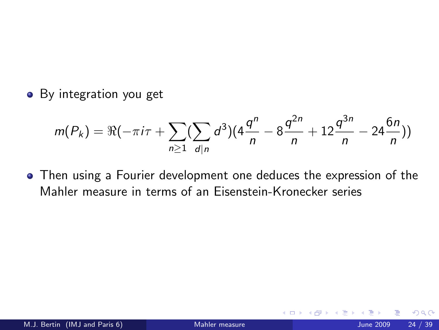• By integration you get

$$
m(P_k) = \Re(-\pi i \tau + \sum_{n\geq 1} (\sum_{d|n} d^3)(4\frac{q^n}{n} - 8\frac{q^{2n}}{n} + 12\frac{q^{3n}}{n} - 24\frac{6n}{n}))
$$

Then using a Fourier development one deduces the expression of the Mahler measure in terms of an Eisenstein-Kronecker series

 $\leftarrow$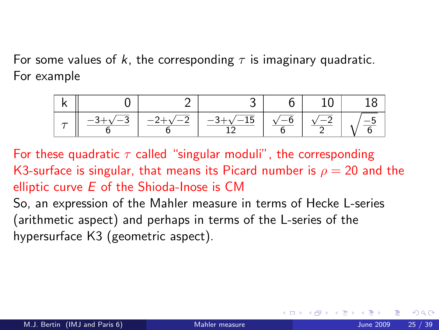For some values of k, the corresponding  $\tau$  is imaginary quadratic. For example



For these quadratic  $\tau$  called "singular moduli", the corresponding K3-surface is singular, that means its Picard number is  $\rho = 20$  and the elliptic curve  $E$  of the Shioda-Inose is CM

So, an expression of the Mahler measure in terms of Hecke L-series (arithmetic aspect) and perhaps in terms of the L-series of the hypersurface K3 (geometric aspect).

<span id="page-24-0"></span>4 0 8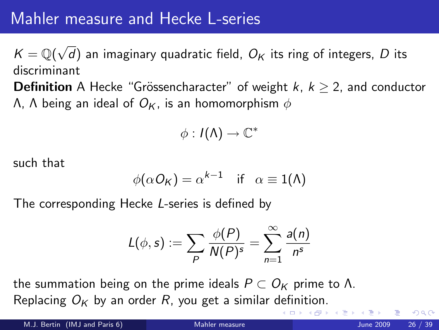## Mahler measure and Hecke L-series

 $K = \mathbb{Q}(\sqrt{2})$ d) an imaginary quadratic field,  $O_K$  its ring of integers,  $D$  its discriminant

**Definition** A Hecke "Grössencharacter" of weight  $k, k \geq 2$ , and conductor  $Λ$ , Λ being an ideal of  $O$ <sub>K</sub>, is an homomorphism  $φ$ 

$$
\phi: I(\Lambda) \to \mathbb{C}^*
$$

such that

$$
\phi(\alpha O_K) = \alpha^{k-1} \quad \text{if} \quad \alpha \equiv 1(\Lambda)
$$

The corresponding Hecke L-series is defined by

<span id="page-25-0"></span>
$$
L(\phi, s) := \sum_{P} \frac{\phi(P)}{N(P)^s} = \sum_{n=1}^{\infty} \frac{a(n)}{n^s}
$$

the summation being on the prime ideals  $P \subset O_K$  prime to  $\Lambda$ . Replacing  $O_K$  by an order R, you get a similar [defi](#page-24-0)[ni](#page-26-0)[ti](#page-24-0)[on](#page-25-0)[.](#page-26-0)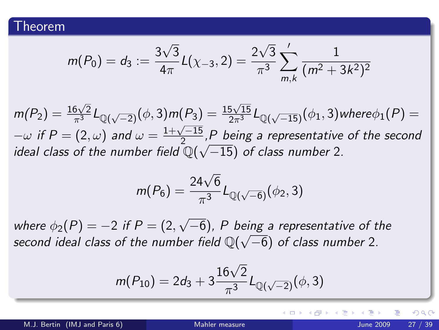$$
m(P_0) = d_3 := \frac{3\sqrt{3}}{4\pi}L(\chi_{-3}, 2) = \frac{2\sqrt{3}}{\pi^3}\sum_{m,k}^{\prime}\frac{1}{(m^2 + 3k^2)^2}
$$

 $m(P_2)=\frac{16\sqrt{2}}{\pi^3}L_{\mathbb{Q}(\sqrt{-2})}(\phi,3)m(P_3)=\frac{15\sqrt{15}}{2\pi^3}L_{\mathbb{Q}(\sqrt{-15})}(\phi_1,3)$ where $\phi_1(P)=$  $-\omega$  if  $P = (2, \omega)$  and  $\omega = \frac{1+\sqrt{-15}}{2}$ , P being a representative of the second  $-w$  if  $r = (z, \omega)$  and  $\omega = \frac{z}{z}$ ,<br>ideal class of the number field  $\mathbb{Q}(\sqrt{z})$  $(-15)$  of class number 2.

$$
m(P_6) = \frac{24\sqrt{6}}{\pi^3} L_{\mathbb{Q}(\sqrt{-6})}(\phi_2, 3)
$$

where  $\phi_2(P)=-2$  if  $P=(2,2)$ √ −6), P being a representative of the √ second ideal class of the number field  $\mathbb{Q}(\sqrt{-6})$  of class number 2.

$$
m(P_{10}) = 2d_3 + 3\frac{16\sqrt{2}}{\pi^3}L_{\mathbb{Q}(\sqrt{-2})}(\phi,3)
$$

<span id="page-26-0"></span> $\Omega$ 

メロメ メ都 メメ きょくきょ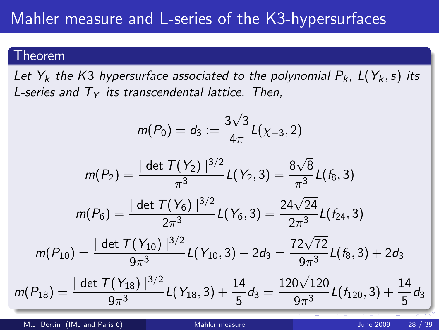#### Theorem

Let  $Y_k$  the K3 hypersurface associated to the polynomial  $P_k$ ,  $L(Y_k, s)$  its L-series and  $T_Y$  its transcendental lattice. Then,

$$
m(P_0)=d_3:=\frac{3\sqrt{3}}{4\pi}L(\chi_{-3},2)
$$

$$
m(P_2) = \frac{|\det \mathcal{T}(Y_2)|^{3/2}}{\pi^3} L(Y_2, 3) = \frac{8\sqrt{8}}{\pi^3} L(f_8, 3)
$$

$$
m(P_6) = \frac{|\det T(Y_6)|^{3/2}}{2\pi^3}L(Y_6,3) = \frac{24\sqrt{24}}{2\pi^3}L(f_{24},3)
$$

$$
m(P_{10})=\frac{|\det T(Y_{10})|^{3/2}}{9\pi^3}L(Y_{10},3)+2d_3=\frac{72\sqrt{72}}{9\pi^3}L(f_8,3)+2d_3
$$

$$
m(P_{18}) = \frac{|\det T(Y_{18})|^{3/2}}{9\pi^3}L(Y_{18},3) + \frac{14}{5}d_3 = \frac{120\sqrt{120}}{9\pi^3}L(f_{120},3) + \frac{14}{5}d_3
$$

M.J. Bertin (IMJ and Paris 6) [Mahler measure](#page-0-0) June 2009 28 / 39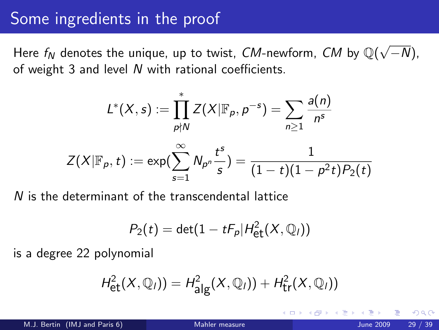## Some ingredients in the proof

Here  $f_N$  denotes the unique, up to twist,  ${\it CM}$ -newform,  ${\it CM}$  by  ${\mathbb Q}(\sqrt{2})$ −N), of weight 3 and level N with rational coefficients.

$$
L^*(X, s) := \prod_{p \nmid N}^* Z(X | \mathbb{F}_p, p^{-s}) = \sum_{n \geq 1} \frac{a(n)}{n^s}
$$

$$
Z(X | \mathbb{F}_p, t) := \exp(\sum_{s=1}^{\infty} N_{p^n} \frac{t^s}{s}) = \frac{1}{(1 - t)(1 - p^2 t)P_2(t)}
$$

N is the determinant of the transcendental lattice

<span id="page-28-0"></span>
$$
P_2(t) = \det(1 - tF_p|H_{\text{et}}^2(X,\mathbb{Q}_l))
$$

is a degree 22 polynomial

$$
H^2_{\text{et}}(X,{{\mathbb Q}}_l))=H^2_{\text{alg}}(X,{{\mathbb Q}}_l))+H^2_{\text{tr}}(X,{{\mathbb Q}}_l))
$$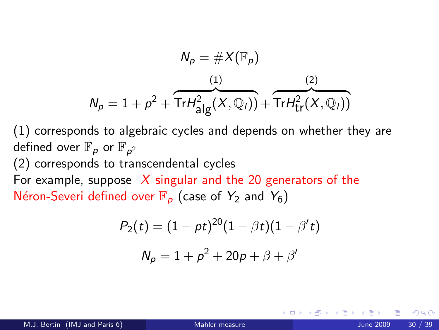$$
N_p = \#X(\mathbb{F}_p)
$$
  

$$
N_p = 1 + p^2 + \overbrace{\text{Tr}H^2_{\text{alg}}(X, \mathbb{Q}_l))}^{(1)} + \overbrace{\text{Tr}H^2_{\text{tr}}(X, \mathbb{Q}_l))}^{(2)}
$$

(1) corresponds to algebraic cycles and depends on whether they are defined over  $\mathbb{F}_p$  or  $\mathbb{F}_{p^2}$ 

(2) corresponds to transcendental cycles

For example, suppose  $\overline{X}$  singular and the 20 generators of the Néron-Severi defined over  $\mathbb{F}_p$  (case of Y<sub>2</sub> and Y<sub>6</sub>)

$$
P_2(t) = (1 - pt)^{20}(1 - \beta t)(1 - \beta' t)
$$

$$
N_p = 1 + p^2 + 20p + \beta + \beta'
$$

4 0 8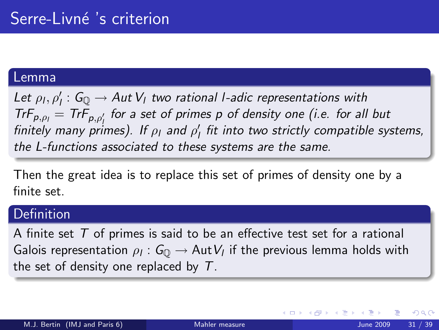#### Lemma

Let  $\rho_l, \rho'_l$  :  $G_{\mathbb{Q}} \to Aut\, V_l$  two rational l-adic representations with  $TrF_{p,\rho_l} = TrF_{p,\rho'_l}$  for a set of primes p of density one (i.e. for all but finitely many primes). If  $\rho_1$  and  $\rho_1'$  fit into two strictly compatible systems, the L-functions associated to these systems are the same.

Then the great idea is to replace this set of primes of density one by a finite set.

### **Definition**

A finite set  $T$  of primes is said to be an effective test set for a rational Galois representation  $\rho_l: \mathsf{G}_\mathbb{Q} \to \mathsf{Aut}\, V_l$  if the previous lemma holds with the set of density one replaced by  $T$ .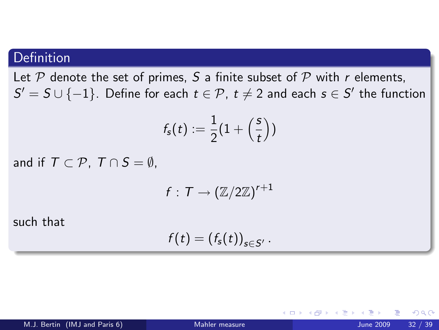### Definition

Let  $P$  denote the set of primes, S a finite subset of  $P$  with r elements,  $\mathcal{S}' = \mathcal{S} \cup \{-1\}.$  Define for each  $t \in \mathcal{P}$ ,  $t \neq 2$  and each  $s \in \mathcal{S}'$  the function

$$
f_{\mathsf{s}}(t):=\frac{1}{2}(1+\left(\frac{\mathsf{s}}{t}\right))
$$

and if  $T \subset \mathcal{P}$ ,  $T \cap S = \emptyset$ .

$$
f:\, \mathcal{T} \to (\mathbb{Z}/2\mathbb{Z})^{r+1}
$$

such that

$$
f(t)=(f_{s}(t))_{s\in S'}.
$$

4 0 8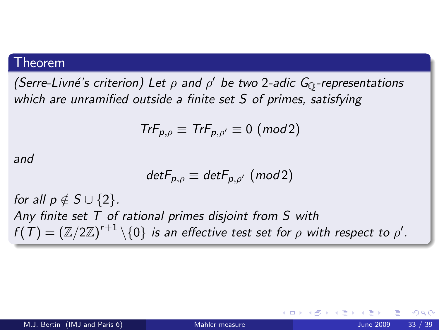#### Theorem

(Serre-Livné's criterion) Let  $\rho$  and  $\rho'$  be two 2-adic G<sub>Q</sub>-representations which are unramified outside a finite set S of primes, satisfying

$$
TrF_{p,\rho}\equiv TrF_{p,\rho'}\equiv 0\ (mod\ 2)
$$

and

$$
detF_{p,\rho} \equiv detF_{p,\rho'} \ (mod 2)
$$

for all  $p \notin S \cup \{2\}$ . Any finite set  $T$  of rational primes disjoint from  $S$  with  $f(\,\mathcal{T}\,) = \left(\mathbb{Z}/2\mathbb{Z}\right)^{r+1} \backslash \{0\}$  is an effective test set for  $\rho$  with respect to  $\rho'$ .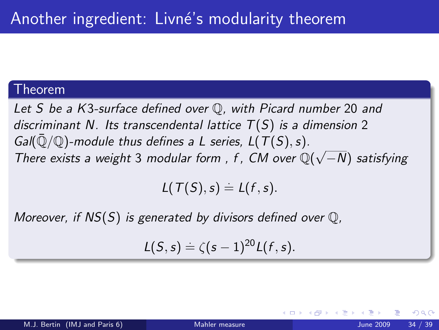#### Theorem

Let S be a K3-surface defined over Q, with Picard number 20 and discriminant N. Its transcendental lattice  $T(S)$  is a dimension 2 Gal( $\overline{Q}/\mathbb{Q}$ )-module thus defines a L series, L(T(S), s). Gan( $\psi/\psi$ )-module thus defines a L series, L(1(3), s).<br>There exists a weight 3 modular form, f, CM over  $\mathbb{Q}(\sqrt{2})$ −N) satisfying

 $L(T(S), s) \doteq L(f, s).$ 

Moreover, if  $NS(S)$  is generated by divisors defined over  $\mathbb{Q}$ ,

$$
L(S,s) \doteq \zeta(s-1)^{20} L(f,s).
$$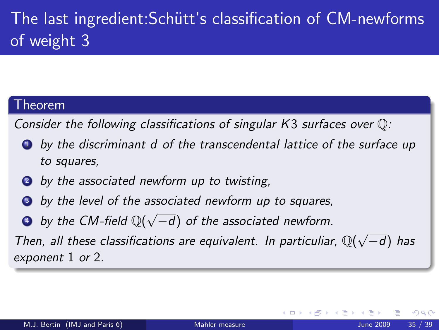# The last ingredient: Schütt's classification of CM-newforms of weight 3

#### Theorem

Consider the following classifications of singular K3 surfaces over Q:

- <sup>1</sup> by the discriminant d of the transcendental lattice of the surface up to squares,
- **2** by the associated newform up to twisting,
- **3** by the level of the associated newform up to squares,
- **a** by the CM-field  $\mathbb{Q}(\sqrt{2})$ −d) of the associated newform.

Then, all these classifications are equivalent. In particuliar,  $\mathbb{Q}(\sqrt{n})$ −d) has exponent 1 or 2.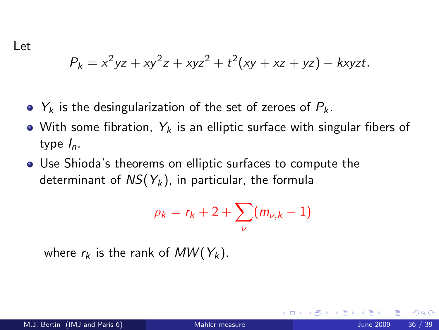Let

$$
P_k = x^2yz + xy^2z + xyz^2 + t^2(xy + xz + yz) - kxyzt.
$$

- $\bullet$   $Y_k$  is the desingularization of the set of zeroes of  $P_k$ .
- With some fibration,  $Y_k$  is an elliptic surface with singular fibers of type  $I_n$ .
- Use Shioda's theorems on elliptic surfaces to compute the determinant of  $NS(Y_k)$ , in particular, the formula

$$
\rho_k = r_k + 2 + \sum_{\nu} (m_{\nu,k} - 1)
$$

where  $r_k$  is the rank of  $MW(Y_k)$ .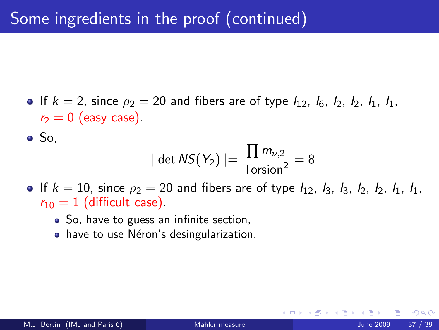• If  $k = 2$ , since  $\rho_2 = 20$  and fibers are of type  $I_{12}$ ,  $I_6$ ,  $I_2$ ,  $I_2$ ,  $I_1$ ,  $I_1$ ,  $r_2 = 0$  (easy case).

 $\bullet$  So.

$$
|\det \mathsf{NS}(Y_2)| = \frac{\prod m_{\nu,2}}{\text{Torsion}^2} = 8
$$

- If  $k = 10$ , since  $\rho_2 = 20$  and fibers are of type  $I_{12}$ ,  $I_3$ ,  $I_3$ ,  $I_2$ ,  $I_2$ ,  $I_1$ ,  $I_1$ ,  $r_{10} = 1$  (difficult case).
	- So, have to guess an infinite section,
	- have to use Néron's desingularization.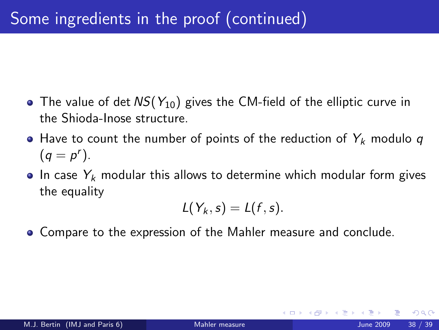- The value of det  $NS(Y_{10})$  gives the CM-field of the elliptic curve in the Shioda-Inose structure.
- $\bullet$  Have to count the number of points of the reduction of  $Y_k$  modulo q  $(q = p^r).$
- $\bullet$  In case  $Y_k$  modular this allows to determine which modular form gives the equality

$$
L(Y_k,s)=L(f,s).
$$

Compare to the expression of the Mahler measure and conclude.